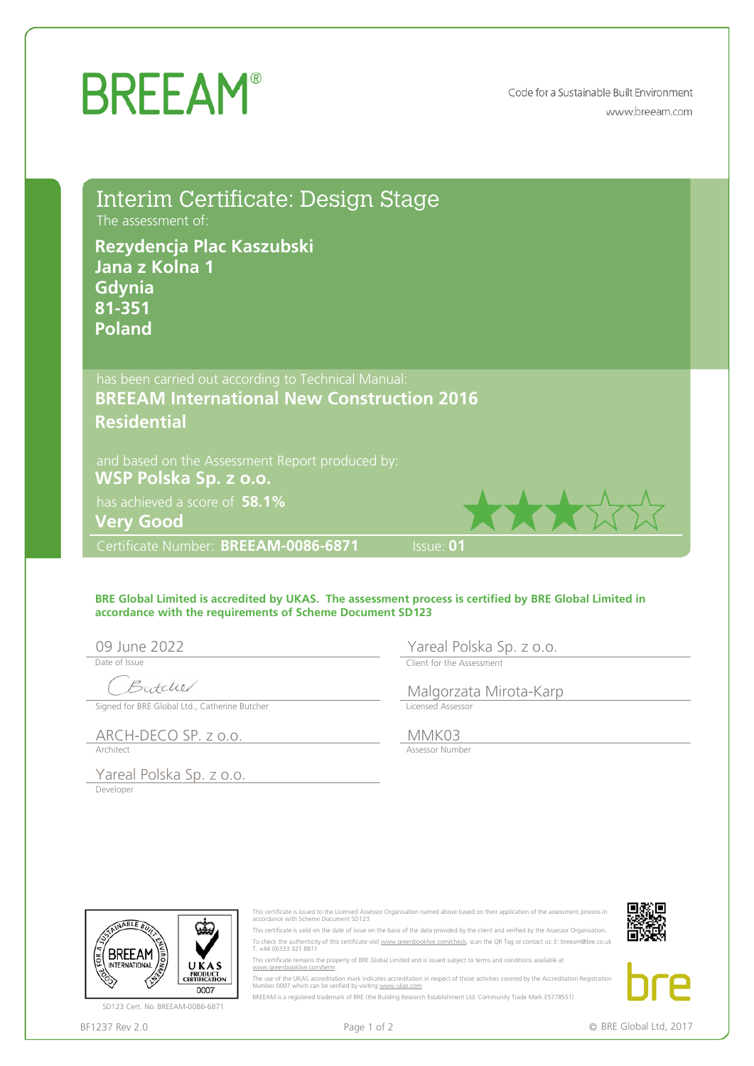## **BREEAM®**

Code for a Sustainable Built Environment www.breeam.com

| The assessment of:<br>Rezydencja Plac Kaszubski<br>Jana z Kolna 1<br>Gdynia<br>81-351<br><b>Poland</b> | Interim Certificate: Design Stage                                                                        |                                                                                                                                                                                                                                                                                                                                                                                                                                                                                                                                                    |  |  |  |
|--------------------------------------------------------------------------------------------------------|----------------------------------------------------------------------------------------------------------|----------------------------------------------------------------------------------------------------------------------------------------------------------------------------------------------------------------------------------------------------------------------------------------------------------------------------------------------------------------------------------------------------------------------------------------------------------------------------------------------------------------------------------------------------|--|--|--|
| <b>Residential</b>                                                                                     | has been carried out according to Technical Manual:<br><b>BREEAM International New Construction 2016</b> |                                                                                                                                                                                                                                                                                                                                                                                                                                                                                                                                                    |  |  |  |
| WSP Polska Sp. z o.o.<br>has achieved a score of 58.1%<br><b>Very Good</b>                             | and based on the Assessment Report produced by:                                                          |                                                                                                                                                                                                                                                                                                                                                                                                                                                                                                                                                    |  |  |  |
| Certificate Number: BREEAM-0086-6871                                                                   |                                                                                                          | Issue: 01                                                                                                                                                                                                                                                                                                                                                                                                                                                                                                                                          |  |  |  |
| 09 June 2022<br>Date of Issue<br>Butcher                                                               | accordance with the requirements of Scheme Document SD123                                                | BRE Global Limited is accredited by UKAS. The assessment process is certified by BRE Global Limited in<br>Yareal Polska Sp. z o.o.<br>Client for the Assessment<br>Malgorzata Mirota-Karp                                                                                                                                                                                                                                                                                                                                                          |  |  |  |
| Signed for BRE Global Ltd., Catherine Butcher                                                          |                                                                                                          | Licensed Assessor                                                                                                                                                                                                                                                                                                                                                                                                                                                                                                                                  |  |  |  |
| ARCH-DECO SP. z o.o.<br>Architect                                                                      |                                                                                                          | MMK03<br>Assessor Number                                                                                                                                                                                                                                                                                                                                                                                                                                                                                                                           |  |  |  |
| Yareal Polska Sp. z o.o.<br>Developer<br>NABLE BU<br>BREEAM<br><b>INTERNATIONAL</b><br>UKAS            | accordance with Scheme Document SD123.<br>T. +44 (0)333 321 8811<br>www.greenbooklive.com/term           | This certificate is issued to the Licensed Assessor Organisation named above based on their application of the assessment process in<br>This certificate is valid on the date of issue on the basis of the data provided by the client and verified by the Assessor Organisation.<br>To check the authenticity of this certificate visit www.greenbooklive.com/check, scan the QR Tag or contact us: E: breeam@bre.co.uk<br>This certificate remains the property of BRE Global Limited and is issued subject to terms and conditions available at |  |  |  |
| <b>PRODUCT</b><br>CERTIFICATION<br>0007                                                                | Number 0007 which can be verified by visiting www.ukas.com                                               | The use of the UKAS accreditation mark indicates accreditation in respect of those activities covered by the Accreditation Registration                                                                                                                                                                                                                                                                                                                                                                                                            |  |  |  |
| SD123 Cert. No. BREEAM-0086-6871                                                                       |                                                                                                          | BREEAM is a registered trademark of BRE (the Building Research Establishment Ltd. Community Trade Mark E5778551)                                                                                                                                                                                                                                                                                                                                                                                                                                   |  |  |  |
| BF1237 Rev 2.0                                                                                         | Page 1 of 2                                                                                              | © BRE Global Ltd, 2017                                                                                                                                                                                                                                                                                                                                                                                                                                                                                                                             |  |  |  |

## **BRE Global Limited is accredited by UKAS. The assessment process is certified by BRE Global Limited in accordance with the requirements of Scheme Document SD123**